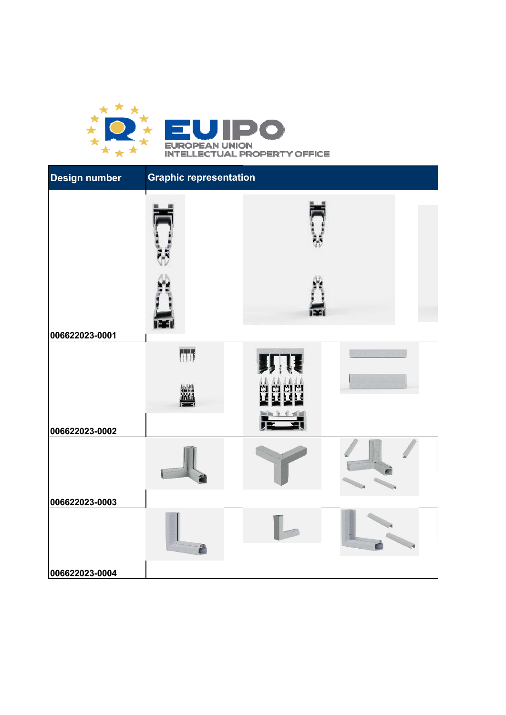

| <b>Design number</b> |      | <b>Graphic representation</b> |  |  |
|----------------------|------|-------------------------------|--|--|
|                      |      |                               |  |  |
|                      |      |                               |  |  |
| 006622023-0001       |      |                               |  |  |
|                      |      |                               |  |  |
|                      | 4XX. |                               |  |  |
| 006622023-0002       |      |                               |  |  |
|                      |      |                               |  |  |
| 006622023-0003       |      |                               |  |  |
|                      |      |                               |  |  |
| 006622023-0004       |      |                               |  |  |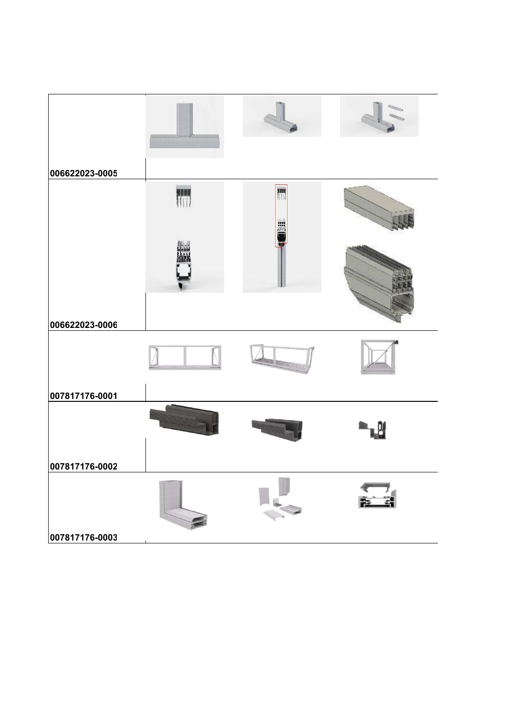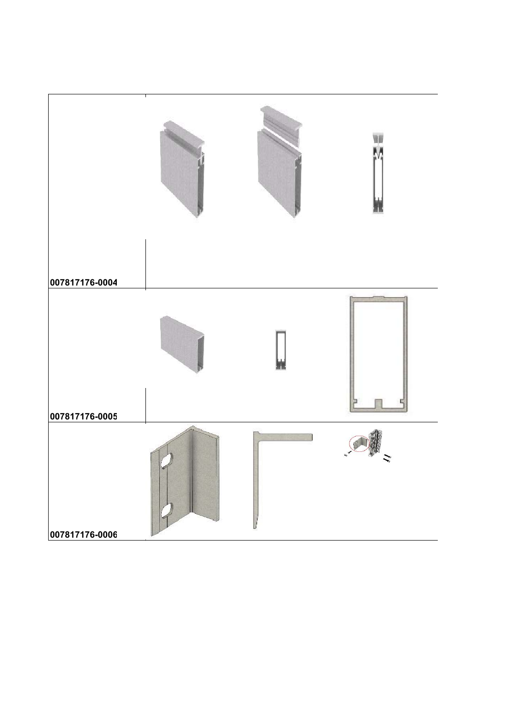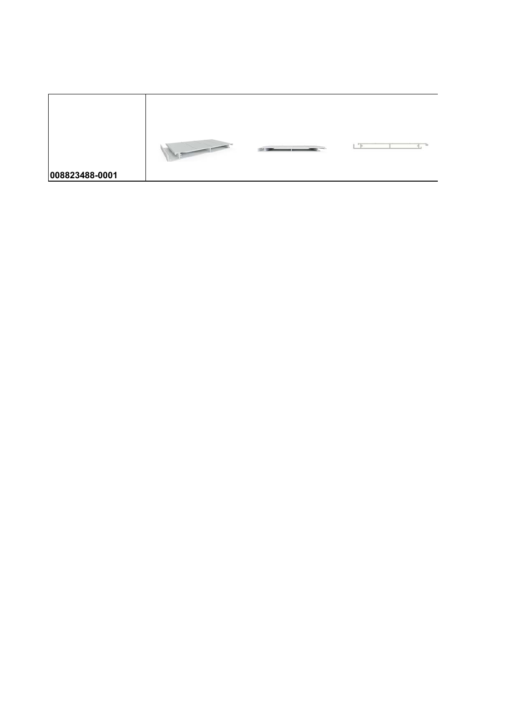| 008823488-0001 |  |  |
|----------------|--|--|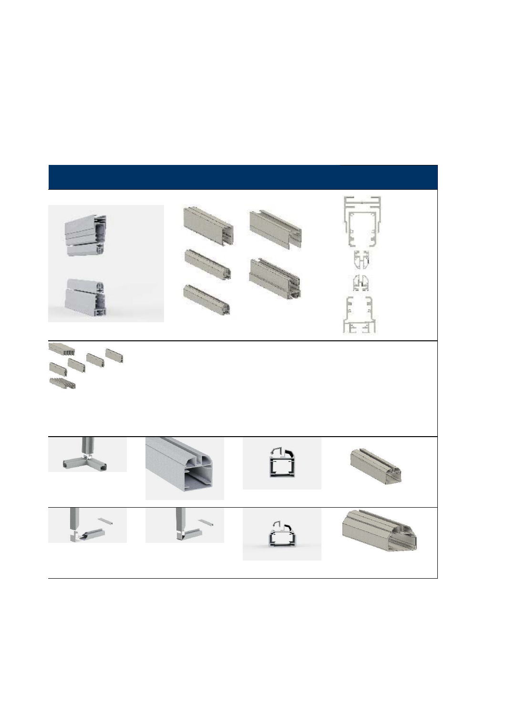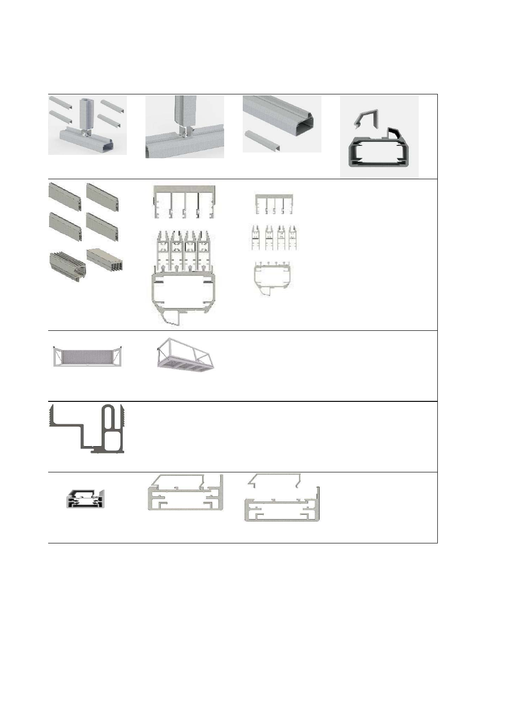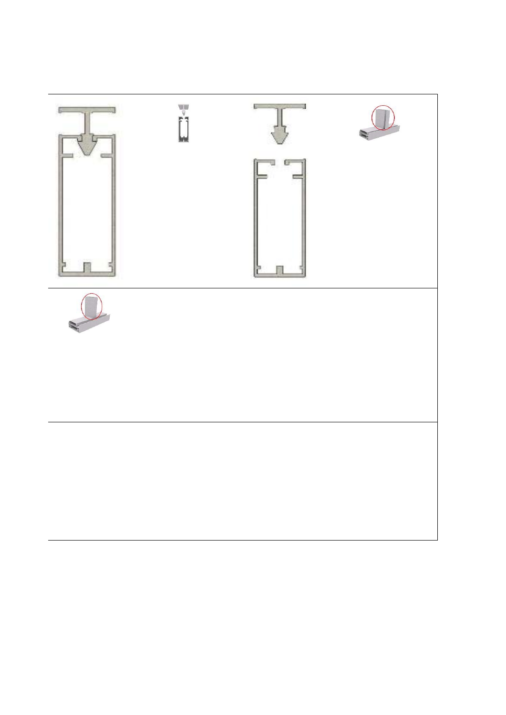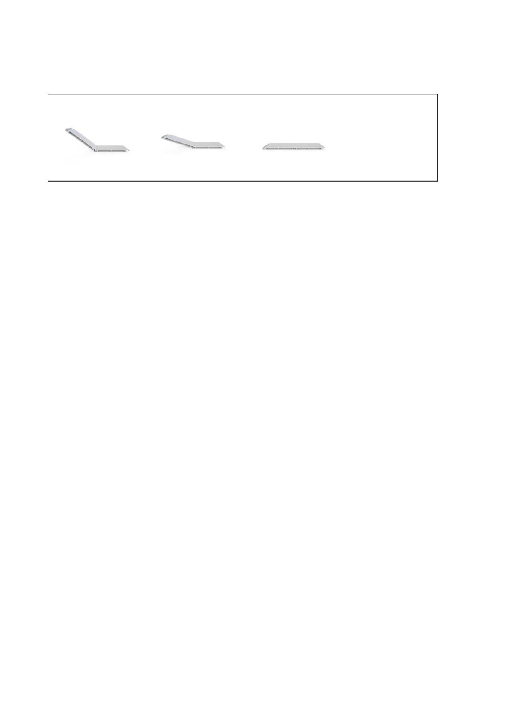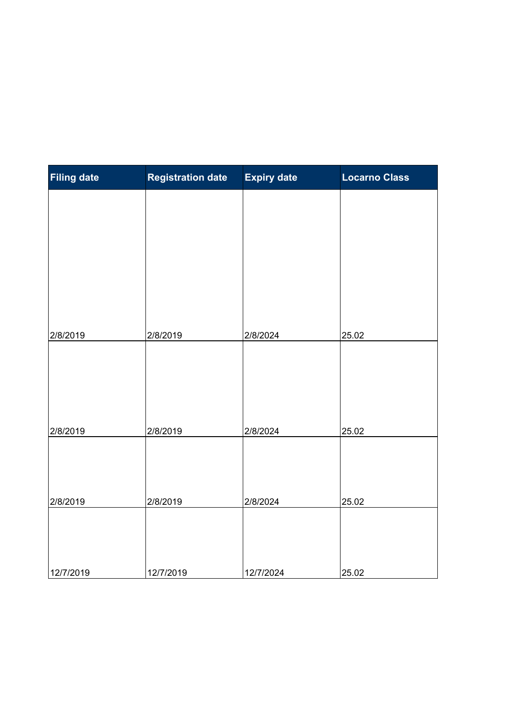| <b>Filing date</b> | <b>Registration date</b> | <b>Expiry date</b> | <b>Locarno Class</b> |
|--------------------|--------------------------|--------------------|----------------------|
|                    |                          |                    |                      |
|                    |                          |                    |                      |
|                    |                          |                    |                      |
|                    |                          |                    |                      |
|                    |                          |                    |                      |
|                    |                          |                    |                      |
| 2/8/2019           | 2/8/2019                 | 2/8/2024           | 25.02                |
|                    |                          |                    |                      |
|                    |                          |                    |                      |
|                    |                          |                    |                      |
| 2/8/2019           | 2/8/2019                 | 2/8/2024           | 25.02                |
|                    |                          |                    |                      |
|                    |                          |                    |                      |
|                    |                          |                    |                      |
| 2/8/2019           | 2/8/2019                 | 2/8/2024           | 25.02                |
|                    |                          |                    |                      |
|                    |                          |                    |                      |
| 12/7/2019          | 12/7/2019                | 12/7/2024          | 25.02                |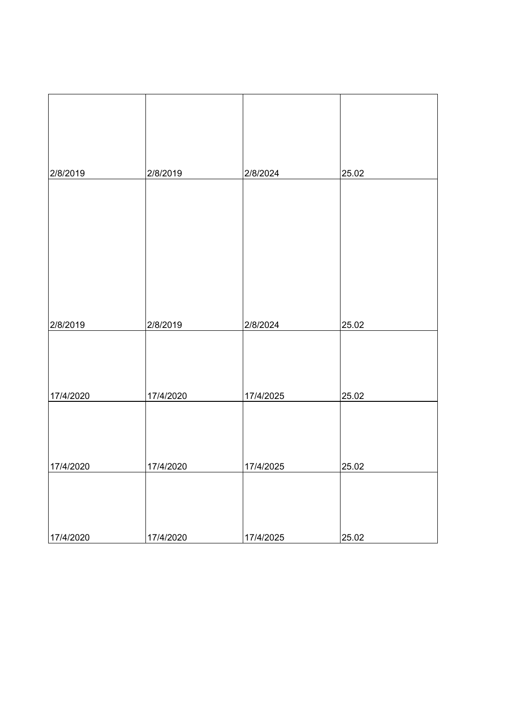| 2/8/2019  | 2/8/2019  | 2/8/2024  | 25.02 |
|-----------|-----------|-----------|-------|
|           |           |           |       |
| 2/8/2019  | 2/8/2019  | 2/8/2024  | 25.02 |
| 17/4/2020 | 17/4/2020 | 17/4/2025 | 25.02 |
| 17/4/2020 | 17/4/2020 | 17/4/2025 | 25.02 |
| 17/4/2020 | 17/4/2020 | 17/4/2025 | 25.02 |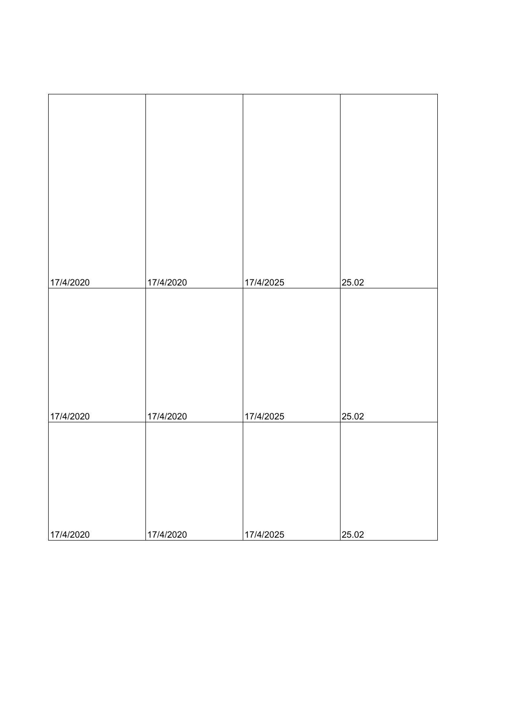| 17/4/2020 | 17/4/2020 | 17/4/2025 | 25.02 |
|-----------|-----------|-----------|-------|
|           |           |           |       |
| 17/4/2020 | 17/4/2020 | 17/4/2025 | 25.02 |
|           |           |           |       |
| 17/4/2020 | 17/4/2020 | 17/4/2025 | 25.02 |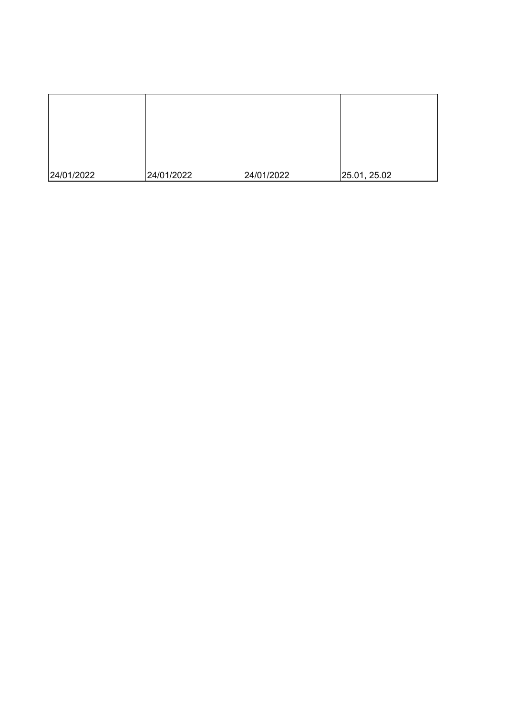| 24/01/2022 | 24/01/2022 | 24/01/2022 | 25.01, 25.02 |
|------------|------------|------------|--------------|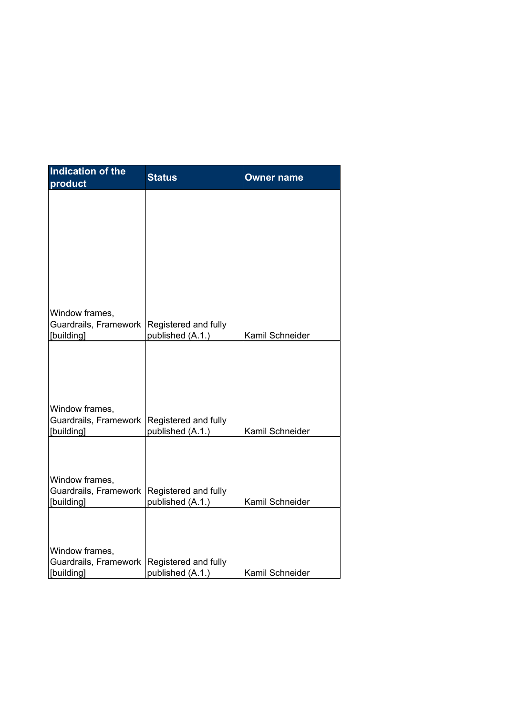| Indication of the<br>product            | <b>Status</b>                            | <b>Owner name</b> |
|-----------------------------------------|------------------------------------------|-------------------|
|                                         |                                          |                   |
|                                         |                                          |                   |
|                                         |                                          |                   |
|                                         |                                          |                   |
|                                         |                                          |                   |
|                                         |                                          |                   |
|                                         |                                          |                   |
|                                         |                                          |                   |
|                                         |                                          |                   |
|                                         |                                          |                   |
| Window frames,<br>Guardrails, Framework |                                          |                   |
| [building]                              | Registered and fully<br>published (A.1.) | Kamil Schneider   |
|                                         |                                          |                   |
|                                         |                                          |                   |
|                                         |                                          |                   |
|                                         |                                          |                   |
|                                         |                                          |                   |
| Window frames,                          |                                          |                   |
| Guardrails, Framework                   | Registered and fully                     |                   |
| [building]                              | published (A.1.)                         | Kamil Schneider   |
|                                         |                                          |                   |
|                                         |                                          |                   |
|                                         |                                          |                   |
| Window frames,                          |                                          |                   |
| Guardrails, Framework                   | Registered and fully                     |                   |
| [building]                              | published (A.1.)                         | Kamil Schneider   |
|                                         |                                          |                   |
|                                         |                                          |                   |
| Window frames,                          |                                          |                   |
| Guardrails, Framework                   | Registered and fully                     |                   |
| [building]                              | published (A.1.)                         | Kamil Schneider   |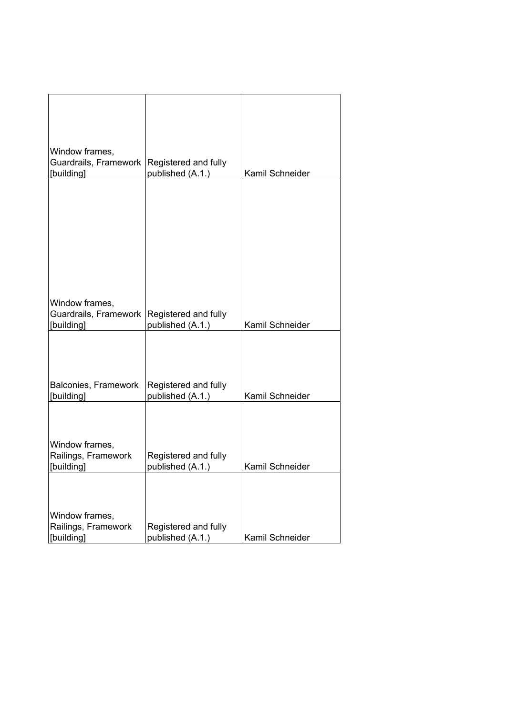| Window frames,<br>Guardrails, Framework<br>[building] | Registered and fully<br>published (A.1.) | Kamil Schneider |
|-------------------------------------------------------|------------------------------------------|-----------------|
|                                                       |                                          |                 |
| Window frames,<br>Guardrails, Framework<br>[building] | Registered and fully<br>published (A.1.) | Kamil Schneider |
| Balconies, Framework<br>[building]                    | Registered and fully<br>published (A.1.) | Kamil Schneider |
| Window frames,<br>Railings, Framework<br>[building]   | Registered and fully<br>published (A.1.) | Kamil Schneider |
| Window frames,<br>Railings, Framework<br>[building]   | Registered and fully<br>published (A.1.) | Kamil Schneider |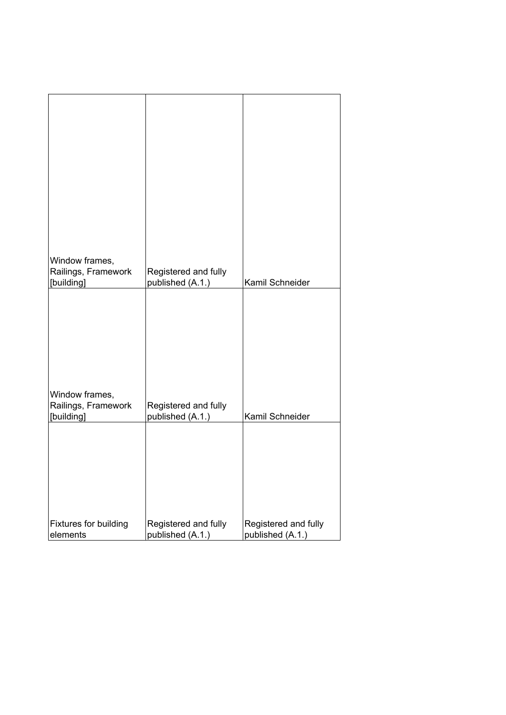| Window frames,<br>Railings, Framework<br>[building] | Registered and fully<br>published (A.1.) | Kamil Schneider                          |
|-----------------------------------------------------|------------------------------------------|------------------------------------------|
| Window frames,<br>Railings, Framework<br>[building] | Registered and fully<br>published (A.1.) | Kamil Schneider                          |
| Fixtures for building<br>elements                   | Registered and fully<br>published (A.1.) | Registered and fully<br>published (A.1.) |